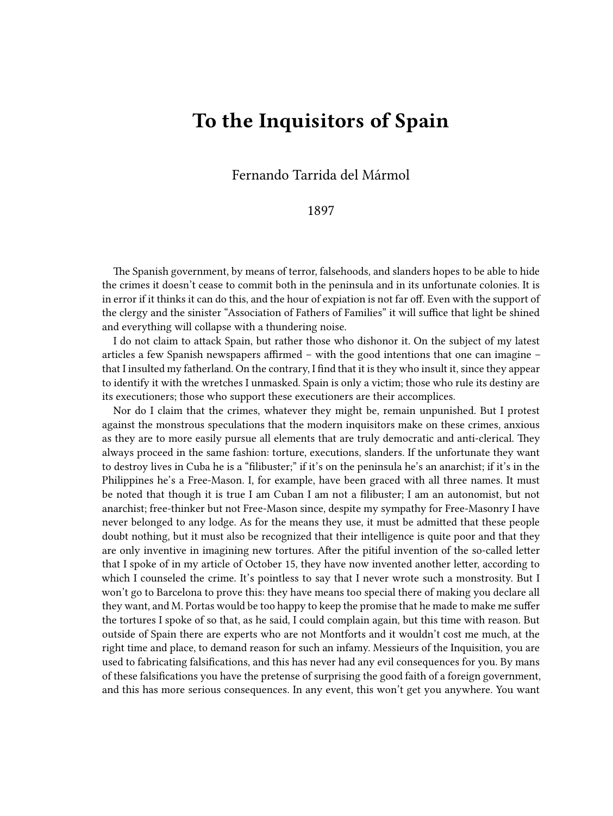## **To the Inquisitors of Spain**

Fernando Tarrida del Mármol

## 1897

The Spanish government, by means of terror, falsehoods, and slanders hopes to be able to hide the crimes it doesn't cease to commit both in the peninsula and in its unfortunate colonies. It is in error if it thinks it can do this, and the hour of expiation is not far off. Even with the support of the clergy and the sinister "Association of Fathers of Families" it will suffice that light be shined and everything will collapse with a thundering noise.

I do not claim to attack Spain, but rather those who dishonor it. On the subject of my latest articles a few Spanish newspapers affirmed – with the good intentions that one can imagine – that I insulted my fatherland. On the contrary, I find that it is they who insult it, since they appear to identify it with the wretches I unmasked. Spain is only a victim; those who rule its destiny are its executioners; those who support these executioners are their accomplices.

Nor do I claim that the crimes, whatever they might be, remain unpunished. But I protest against the monstrous speculations that the modern inquisitors make on these crimes, anxious as they are to more easily pursue all elements that are truly democratic and anti-clerical. They always proceed in the same fashion: torture, executions, slanders. If the unfortunate they want to destroy lives in Cuba he is a "filibuster;" if it's on the peninsula he's an anarchist; if it's in the Philippines he's a Free-Mason. I, for example, have been graced with all three names. It must be noted that though it is true I am Cuban I am not a filibuster; I am an autonomist, but not anarchist; free-thinker but not Free-Mason since, despite my sympathy for Free-Masonry I have never belonged to any lodge. As for the means they use, it must be admitted that these people doubt nothing, but it must also be recognized that their intelligence is quite poor and that they are only inventive in imagining new tortures. After the pitiful invention of the so-called letter that I spoke of in my article of October 15, they have now invented another letter, according to which I counseled the crime. It's pointless to say that I never wrote such a monstrosity. But I won't go to Barcelona to prove this: they have means too special there of making you declare all they want, and M. Portas would be too happy to keep the promise that he made to make me suffer the tortures I spoke of so that, as he said, I could complain again, but this time with reason. But outside of Spain there are experts who are not Montforts and it wouldn't cost me much, at the right time and place, to demand reason for such an infamy. Messieurs of the Inquisition, you are used to fabricating falsifications, and this has never had any evil consequences for you. By mans of these falsifications you have the pretense of surprising the good faith of a foreign government, and this has more serious consequences. In any event, this won't get you anywhere. You want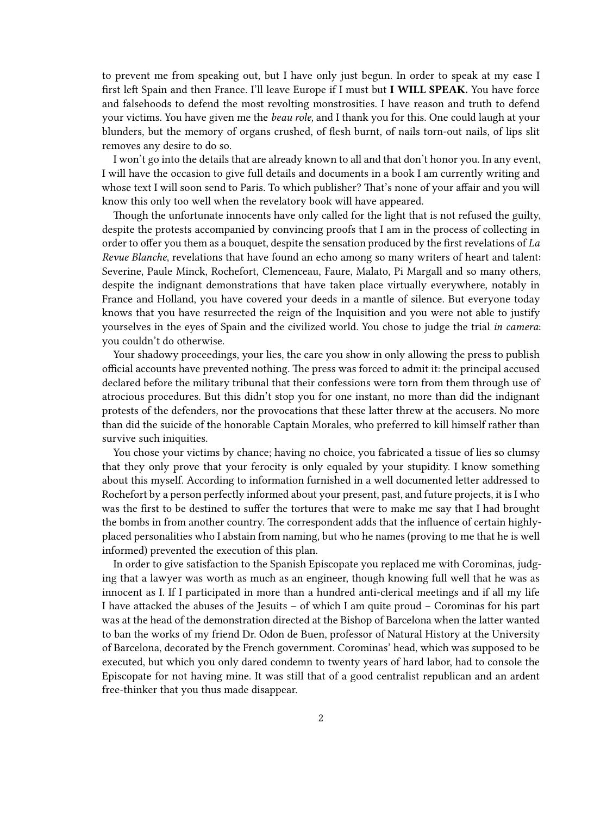to prevent me from speaking out, but I have only just begun. In order to speak at my ease I first left Spain and then France. I'll leave Europe if I must but **I WILL SPEAK.** You have force and falsehoods to defend the most revolting monstrosities. I have reason and truth to defend your victims. You have given me the *beau role,* and I thank you for this. One could laugh at your blunders, but the memory of organs crushed, of flesh burnt, of nails torn-out nails, of lips slit removes any desire to do so.

I won't go into the details that are already known to all and that don't honor you. In any event, I will have the occasion to give full details and documents in a book I am currently writing and whose text I will soon send to Paris. To which publisher? That's none of your affair and you will know this only too well when the revelatory book will have appeared.

Though the unfortunate innocents have only called for the light that is not refused the guilty, despite the protests accompanied by convincing proofs that I am in the process of collecting in order to offer you them as a bouquet, despite the sensation produced by the first revelations of *La Revue Blanche*, revelations that have found an echo among so many writers of heart and talent: Severine, Paule Minck, Rochefort, Clemenceau, Faure, Malato, Pi Margall and so many others, despite the indignant demonstrations that have taken place virtually everywhere, notably in France and Holland, you have covered your deeds in a mantle of silence. But everyone today knows that you have resurrected the reign of the Inquisition and you were not able to justify yourselves in the eyes of Spain and the civilized world. You chose to judge the trial *in camera*: you couldn't do otherwise.

Your shadowy proceedings, your lies, the care you show in only allowing the press to publish official accounts have prevented nothing. The press was forced to admit it: the principal accused declared before the military tribunal that their confessions were torn from them through use of atrocious procedures. But this didn't stop you for one instant, no more than did the indignant protests of the defenders, nor the provocations that these latter threw at the accusers. No more than did the suicide of the honorable Captain Morales, who preferred to kill himself rather than survive such iniquities.

You chose your victims by chance; having no choice, you fabricated a tissue of lies so clumsy that they only prove that your ferocity is only equaled by your stupidity. I know something about this myself. According to information furnished in a well documented letter addressed to Rochefort by a person perfectly informed about your present, past, and future projects, it is I who was the first to be destined to suffer the tortures that were to make me say that I had brought the bombs in from another country. The correspondent adds that the influence of certain highlyplaced personalities who I abstain from naming, but who he names (proving to me that he is well informed) prevented the execution of this plan.

In order to give satisfaction to the Spanish Episcopate you replaced me with Corominas, judging that a lawyer was worth as much as an engineer, though knowing full well that he was as innocent as I. If I participated in more than a hundred anti-clerical meetings and if all my life I have attacked the abuses of the Jesuits – of which I am quite proud – Corominas for his part was at the head of the demonstration directed at the Bishop of Barcelona when the latter wanted to ban the works of my friend Dr. Odon de Buen, professor of Natural History at the University of Barcelona, decorated by the French government. Corominas' head, which was supposed to be executed, but which you only dared condemn to twenty years of hard labor, had to console the Episcopate for not having mine. It was still that of a good centralist republican and an ardent free-thinker that you thus made disappear.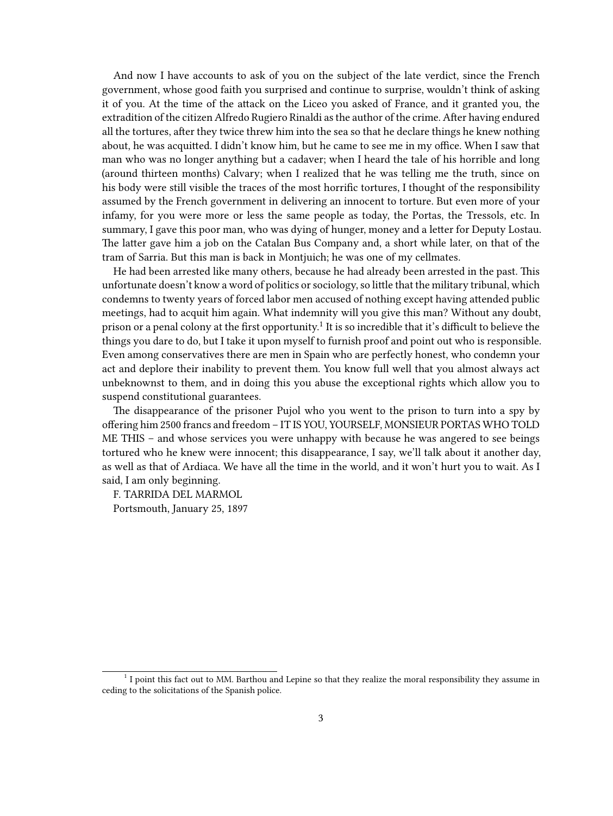And now I have accounts to ask of you on the subject of the late verdict, since the French government, whose good faith you surprised and continue to surprise, wouldn't think of asking it of you. At the time of the attack on the Liceo you asked of France, and it granted you, the extradition of the citizen Alfredo Rugiero Rinaldi as the author of the crime. After having endured all the tortures, after they twice threw him into the sea so that he declare things he knew nothing about, he was acquitted. I didn't know him, but he came to see me in my office. When I saw that man who was no longer anything but a cadaver; when I heard the tale of his horrible and long (around thirteen months) Calvary; when I realized that he was telling me the truth, since on his body were still visible the traces of the most horrific tortures, I thought of the responsibility assumed by the French government in delivering an innocent to torture. But even more of your infamy, for you were more or less the same people as today, the Portas, the Tressols, etc. In summary, I gave this poor man, who was dying of hunger, money and a letter for Deputy Lostau. The latter gave him a job on the Catalan Bus Company and, a short while later, on that of the tram of Sarria. But this man is back in Montjuich; he was one of my cellmates.

He had been arrested like many others, because he had already been arrested in the past. This unfortunate doesn't know a word of politics or sociology, so little that the military tribunal, which condemns to twenty years of forced labor men accused of nothing except having attended public meetings, had to acquit him again. What indemnity will you give this man? Without any doubt, prison or a penal colony at the first opportunity. $^1$  It is so incredible that it's difficult to believe the things you dare to do, but I take it upon myself to furnish proof and point out who is responsible. Even among conservatives there are men in Spain who are perfectly honest, who condemn your act and deplore their inability to prevent them. You know full well that you almost always act unbeknownst to them, and in doing this you abuse the exceptional rights which allow you to suspend constitutional guarantees.

The disappearance of the prisoner Pujol who you went to the prison to turn into a spy by offering him 2500 francs and freedom – IT IS YOU, YOURSELF, MONSIEUR PORTAS WHO TOLD ME THIS – and whose services you were unhappy with because he was angered to see beings tortured who he knew were innocent; this disappearance, I say, we'll talk about it another day, as well as that of Ardiaca. We have all the time in the world, and it won't hurt you to wait. As I said, I am only beginning.

F. TARRIDA DEL MARMOL Portsmouth, January 25, 1897

<sup>&</sup>lt;sup>1</sup> I point this fact out to MM. Barthou and Lepine so that they realize the moral responsibility they assume in ceding to the solicitations of the Spanish police.